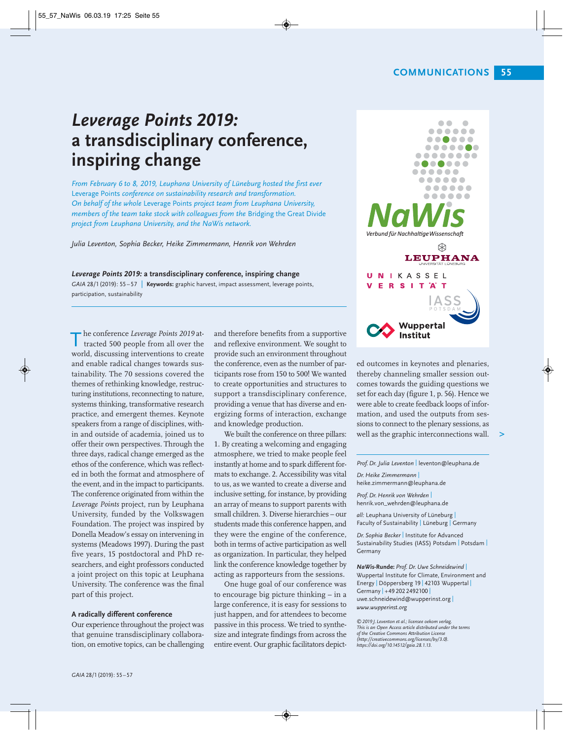# *Leverage Points 2019:*  **a transdisciplinary conference, inspiring change**

*From February 6 to 8, 2019, Leuphana University of Lüneburg hosted the first ever*  Leverage Points *conference on sustainability research and transformation. On behalf of the whole* Leverage Points *project team from Leuphana University, members of the team take stock with colleagues from the* Bridging the Great Divide *project from Leuphana University, and the NaWis network.*

*Julia Leventon, Sophia Becker, Heike Zimmermann, Henrik von Wehrden*

*Leverage Points 2019:* **a transdisciplinary conference, inspiring change** *GAIA* 28/1(2019): 55 – 57 | **Keywords:** graphic harvest, impact assessment, leverage points, participation, sustainability

**h** conference *Leverage Points 2019* at-<br>tracted 500 people from all over the tracted 500 people from all over the world, discussing interventions to create and enable radical changes towards sustainability. The 70 sessions covered the themes of rethinking knowledge, restructuring institutions, reconnecting to nature, systems thinking, transformative research practice, and emergent themes. Keynote speakers from a range of disciplines, within and outside of academia, joined us to offer their own perspectives. Through the three days, radical change emerged as the ethos of the conference, which was reflected in both the format and atmosphere of the event, and in the impact to participants. The conference originated from within the *Leverage Points* project, run by Leuphana University, funded by the Volkswagen Foundation. The project was inspired by Donella Meadow's essay on intervening in systems (Meadows 1997). During the past five years, 15 postdoctoral and PhD researchers, and eight professors conducted a joint project on this topic at Leuphana University. The conference was the final part of this project.

### **A radically different conference**

Our experience throughout the project was that genuine transdisciplinary collaboration, on emotive topics, can be challenging and therefore benefits from a supportive and reflexive environment. We sought to provide such an environment throughout the conference, even as the number of participants rose from 150 to 500! We wanted to create opportunities and structures to support a transdisciplinary conference, providing a venue that has diverse and energizing forms of interaction, exchange and knowledge production.

We built the conference on three pillars: 1. By creating a welcoming and engaging atmosphere, we tried to make people feel instantly at home and to spark different formats to exchange. 2. Accessibility was vital to us, as we wanted to create a diverse and inclusive setting, for instance, by providing an array of means to support parents with small children. 3. Diverse hierarchies – our students made this conference happen, and they were the engine of the conference, both in terms of active participation as well as organization. In particular, they helped link the conference knowledge together by acting as rapporteurs from the sessions.

One huge goal of our conference was to encourage big picture thinking – in a large conference, it is easy for sessions to just happen, and for attendees to become passive in this process. We tried to synthesize and integrate findings from across the entire event. Our graphic facilitators depict-



ed outcomes in keynotes and plenaries, thereby channeling smaller session outcomes towards the guiding questions we set for each day (figure 1, p. 56). Hence we were able to create feedback loops of infor mation, and used the outputs from sessions to connect to the plenary sessions, as well as the graphic interconnections wall. **>**

*Prof. Dr. Julia Leventon* | leventon@leuphana.de

*Dr. Heike Zimmermann* | heike.zimmermann@leuphana.de

*Prof. Dr. Henrik von Wehrden* | henrik.von\_wehrden@leuphana.de

*all:* Leuphana University of Lüneburg | Faculty of Sustainability | Lüneburg | Germany

*Dr. Sophia Becker* | Institute for Advanced Sustainability Studies (IASS) Potsdam | Potsdam | Germany

*NaWis-***Runde:** *Prof. Dr. Uwe Schneidewind* | Wuppertal Institute for Climate, Environment and Energy | Döppersberg 19 | 42103 Wuppertal | Germany | +49 202 2492100 | uwe.schneidewind@wupperinst.org | *www.wupperinst.org*

*©2019 J.Leventon et al.; licensee oekom verlag. This is an Open Access article distributed under the terms of the Creative Commons Attribution License (http://creativecommons.org/licenses/by/3.0). https://doi.org/10.14512/gaia.28.1.13.*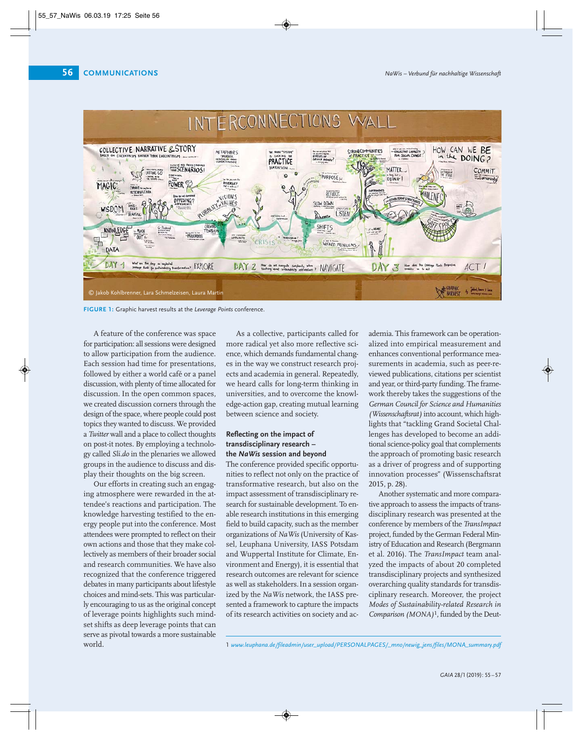

**FIGURE 1:** Graphic harvest results at the *Leverage Points* conference.

A feature of the conference was space for participation: all sessions were designed to allow participation from the audience. Each session had time for presentations, followed by either a world café or a panel discussion, with plenty of time allocated for discussion. In the open common spaces, we created discussion corners through the design of the space, where people could post topics they wanted to discuss. We provided a *Twitter* wall and a place to collect thoughts on post-it notes. By employing a technology called *Sli.do* in the plenaries we allowed groups in the audience to discuss and display their thoughts on the big screen.

Our efforts in creating such an engaging atmosphere were rewarded in the attendee's reactions and participation. The knowledge harvesting testified to the energy people put into the conference. Most attendees were prompted to reflect on their own actions and those that they make collectively as members of their broader social and research communities. We have also recognized that the conference triggered debates in many participants about lifestyle choices and mind-sets. This was particular ly encouraging to us as the original concept of leverage points highlights such mindset shifts as deep leverage points that can serve as pivotal towards a more sustainable world.

As a collective, participants called for more radical yet also more reflective science, which demands fundamental changes in the way we construct research projects and academia in general. Repeatedly, we heard calls for long-term thinking in universities, and to overcome the knowledge-action gap, creating mutual learning between science and society.

## **Reflecting on the impact of transdisciplinary research – the** *NaWis* **session and beyond**

The conference provided specific opportunities to reflect not only on the practice of transformative research, but also on the im pact assessment of transdisciplinary research for sustainable development. To enable research institutions in this emerging field to build capacity, such as the member organizations of *NaWis* (University of Kassel, Leuphana University, IASS Potsdam and Wuppertal Institute for Climate, Environment and Energy), it is essential that research outcomes are relevant for science as well as stakeholders. In a session organized by the *NaWis* network, the IASS presented a framework to capture the impacts of its research activities on society and academia. This framework can be operationalized into empirical measurement and enhances conventional performance measurements in academia, such as peer-reviewed publications, citations per scientist and year, or third-party funding. The frame work thereby takes the suggestions of the *German Council for Science and Humanities (Wissenschaftsrat)* into account, which highlights that "tackling Grand Societal Challenges has developed to become an additional science-policy goal that complements the approach of promoting basic research as a driver of progress and of supporting innovation processes" (Wissenschaftsrat 2015, p. 28).

Another systematic and more comparative approach to assess the impacts of trans disciplinary research was presented at the conference by members of the *Trans Impact* project, funded by the German Federal Ministry of Education and Research (Bergmann et al. 2016). The *TransImpact* team anal yzed the impacts of about 20 completed transdisciplinary projects and synthesized overarching quality standards for transdisciplinary research. Moreover, the project *Modes of Sustainability-related Research in Comparison (MONA)<sup>1</sup>*, funded by the Deut-

<sup>1</sup> *www.leuphana.de/fileadmin/user\_upload/PERSONALPAGES/\_mno/newig\_jens/files/MONA\_summary.pdf*